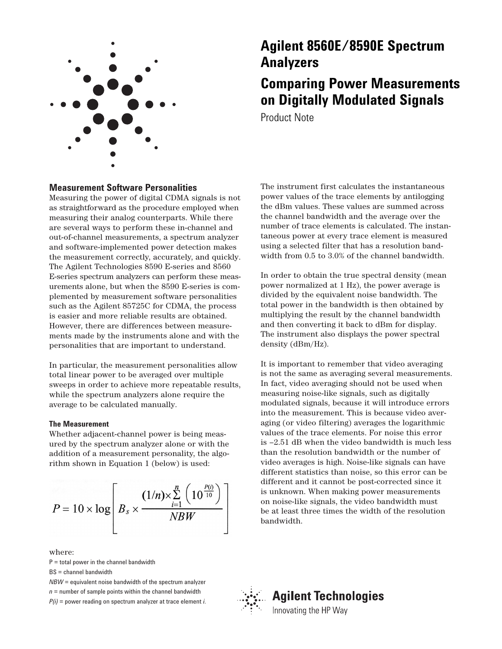

# **Agilent 8560E/8590E Spectrum Analyzers**

# **Comparing Power Measurements on Digitally Modulated Signals**

Product Note

# **Measurement Software Personalities**

Measuring the power of digital CDMA signals is not as straightforward as the procedure employed when measuring their analog counterparts. While there are several ways to perform these in-channel and out-of-channel measurements, a spectrum analyzer and software-implemented power detection makes the measurement correctly, accurately, and quickly. The Agilent Technologies 8590 E-series and 8560 E-series spectrum analyzers can perform these measurements alone, but when the 8590 E-series is complemented by measurement software personalities such as the Agilent 85725C for CDMA, the process is easier and more reliable results are obtained. However, there are differences between measurements made by the instruments alone and with the personalities that are important to understand.

In particular, the measurement personalities allow total linear power to be averaged over multiple sweeps in order to achieve more repeatable results, while the spectrum analyzers alone require the average to be calculated manually.

## **The Measurement**

Whether adjacent-channel power is being measured by the spectrum analyzer alone or with the addition of a measurement personality, the algorithm shown in Equation 1 (below) is used:

$$
P = 10 \times \log \left[ B_s \times \frac{(1/n) \times \sum\limits_{i=1}^{n} \left(10^{\frac{P(i)}{10}}\right)}{NBW} \right]
$$

where:

 $P =$  total power in the channel bandwidth

BS = channel bandwidth

*NBW* = equivalent noise bandwidth of the spectrum analyzer  $n =$  number of sample points within the channel bandwidth *P(i)* = power reading on spectrum analyzer at trace element *i*. The instrument first calculates the instantaneous power values of the trace elements by antilogging the dBm values. These values are summed across the channel bandwidth and the average over the number of trace elements is calculated. The instantaneous power at every trace element is measured using a selected filter that has a resolution bandwidth from 0.5 to 3.0% of the channel bandwidth.

In order to obtain the true spectral density (mean power normalized at 1 Hz), the power average is divided by the equivalent noise bandwidth. The total power in the bandwidth is then obtained by multiplying the result by the channel bandwidth and then converting it back to dBm for display. The instrument also displays the power spectral density (dBm/Hz).

It is important to remember that video averaging is not the same as averaging several measurements. In fact, video averaging should not be used when measuring noise-like signals, such as digitally modulated signals, because it will introduce errors into the measurement. This is because video averaging (or video filtering) averages the logarithmic values of the trace elements. For noise this error is –2.51 dB when the video bandwidth is much less than the resolution bandwidth or the number of video averages is high. Noise-like signals can have different statistics than noise, so this error can be different and it cannot be post-corrected since it is unknown. When making power measurements on noise-like signals, the video bandwidth must be at least three times the width of the resolution bandwidth.



# **Agilent Technologies**

Innovating the HP Way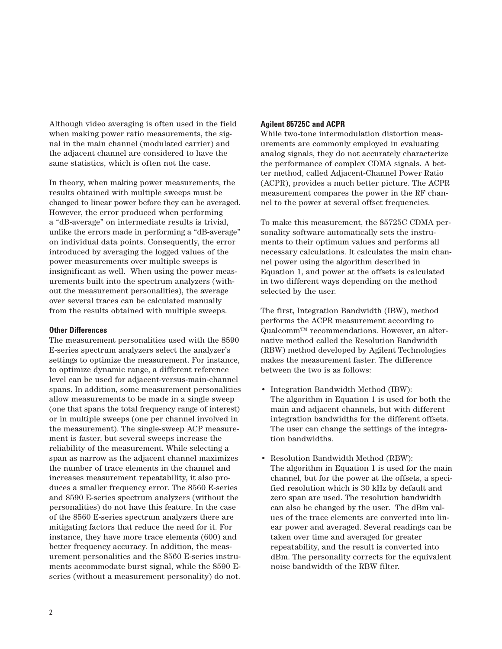Although video averaging is often used in the field when making power ratio measurements, the signal in the main channel (modulated carrier) and the adjacent channel are considered to have the same statistics, which is often not the case.

In theory, when making power measurements, the results obtained with multiple sweeps must be changed to linear power before they can be averaged. However, the error produced when performing a "dB-average" on intermediate results is trivial, unlike the errors made in performing a "dB-average" on individual data points. Consequently, the error introduced by averaging the logged values of the power measurements over multiple sweeps is insignificant as well. When using the power measurements built into the spectrum analyzers (without the measurement personalities), the average over several traces can be calculated manually from the results obtained with multiple sweeps.

## **Other Differences**

The measurement personalities used with the 8590 E-series spectrum analyzers select the analyzer's settings to optimize the measurement. For instance, to optimize dynamic range, a different reference level can be used for adjacent-versus-main-channel spans. In addition, some measurement personalities allow measurements to be made in a single sweep (one that spans the total frequency range of interest) or in multiple sweeps (one per channel involved in the measurement). The single-sweep ACP measurement is faster, but several sweeps increase the reliability of the measurement. While selecting a span as narrow as the adjacent channel maximizes the number of trace elements in the channel and increases measurement repeatability, it also produces a smaller frequency error. The 8560 E-series and 8590 E-series spectrum analyzers (without the personalities) do not have this feature. In the case of the 8560 E-series spectrum analyzers there are mitigating factors that reduce the need for it. For instance, they have more trace elements (600) and better frequency accuracy. In addition, the measurement personalities and the 8560 E-series instruments accommodate burst signal, while the 8590 Eseries (without a measurement personality) do not.

# **Agilent 85725C and ACPR**

While two-tone intermodulation distortion measurements are commonly employed in evaluating analog signals, they do not accurately characterize the performance of complex CDMA signals. A better method, called Adjacent-Channel Power Ratio (ACPR), provides a much better picture. The ACPR measurement compares the power in the RF channel to the power at several offset frequencies.

To make this measurement, the 85725C CDMA personality software automatically sets the instruments to their optimum values and performs all necessary calculations. It calculates the main channel power using the algorithm described in Equation 1, and power at the offsets is calculated in two different ways depending on the method selected by the user.

The first, Integration Bandwidth (IBW), method performs the ACPR measurement according to Qualcomm™ recommendations. However, an alternative method called the Resolution Bandwidth (RBW) method developed by Agilent Technologies makes the measurement faster. The difference between the two is as follows:

- Integration Bandwidth Method (IBW): The algorithm in Equation 1 is used for both the main and adjacent channels, but with different integration bandwidths for the different offsets. The user can change the settings of the integration bandwidths.
- Resolution Bandwidth Method (RBW): The algorithm in Equation 1 is used for the main channel, but for the power at the offsets, a specified resolution which is 30 kHz by default and zero span are used. The resolution bandwidth can also be changed by the user. The dBm values of the trace elements are converted into linear power and averaged. Several readings can be taken over time and averaged for greater repeatability, and the result is converted into dBm. The personality corrects for the equivalent noise bandwidth of the RBW filter.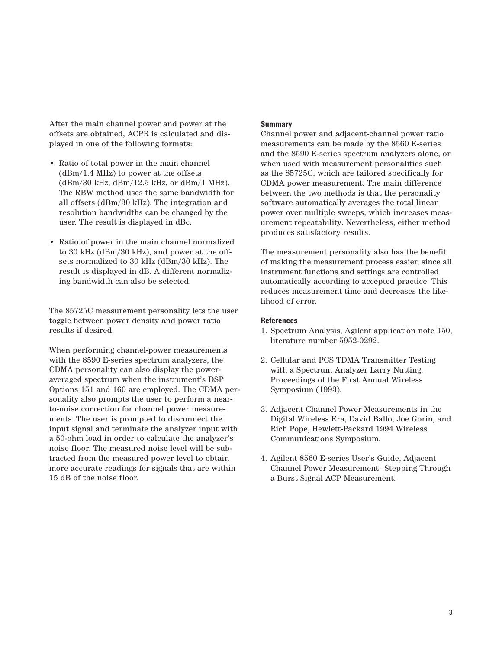After the main channel power and power at the offsets are obtained, ACPR is calculated and displayed in one of the following formats:

- Ratio of total power in the main channel  $(dBm/1.4 MHz)$  to power at the offsets (dBm/30 kHz, dBm/12.5 kHz, or dBm/1 MHz). The RBW method uses the same bandwidth for all offsets (dBm/30 kHz). The integration and resolution bandwidths can be changed by the user. The result is displayed in dBc.
- Ratio of power in the main channel normalized to 30 kHz (dBm/30 kHz), and power at the offsets normalized to 30 kHz (dBm/30 kHz). The result is displayed in dB. A different normalizing bandwidth can also be selected.

The 85725C measurement personality lets the user toggle between power density and power ratio results if desired.

When performing channel-power measurements with the 8590 E-series spectrum analyzers, the CDMA personality can also display the poweraveraged spectrum when the instrument's DSP Options 151 and 160 are employed. The CDMA personality also prompts the user to perform a nearto-noise correction for channel power measurements. The user is prompted to disconnect the input signal and terminate the analyzer input with a 50-ohm load in order to calculate the analyzer's noise floor. The measured noise level will be subtracted from the measured power level to obtain more accurate readings for signals that are within 15 dB of the noise floor.

## **Summary**

Channel power and adjacent-channel power ratio measurements can be made by the 8560 E-series and the 8590 E-series spectrum analyzers alone, or when used with measurement personalities such as the 85725C, which are tailored specifically for CDMA power measurement. The main difference between the two methods is that the personality software automatically averages the total linear power over multiple sweeps, which increases measurement repeatability. Nevertheless, either method produces satisfactory results.

The measurement personality also has the benefit of making the measurement process easier, since all instrument functions and settings are controlled automatically according to accepted practice. This reduces measurement time and decreases the likelihood of error.

## **References**

- 1. Spectrum Analysis, Agilent application note 150, literature number 5952-0292.
- 2. Cellular and PCS TDMA Transmitter Testing with a Spectrum Analyzer Larry Nutting, Proceedings of the First Annual Wireless Symposium (1993).
- 3. Adjacent Channel Power Measurements in the Digital Wireless Era, David Ballo, Joe Gorin, and Rich Pope, Hewlett-Packard 1994 Wireless Communications Symposium.
- 4. Agilent 8560 E-series User's Guide, Adjacent Channel Power Measurement–Stepping Through a Burst Signal ACP Measurement.